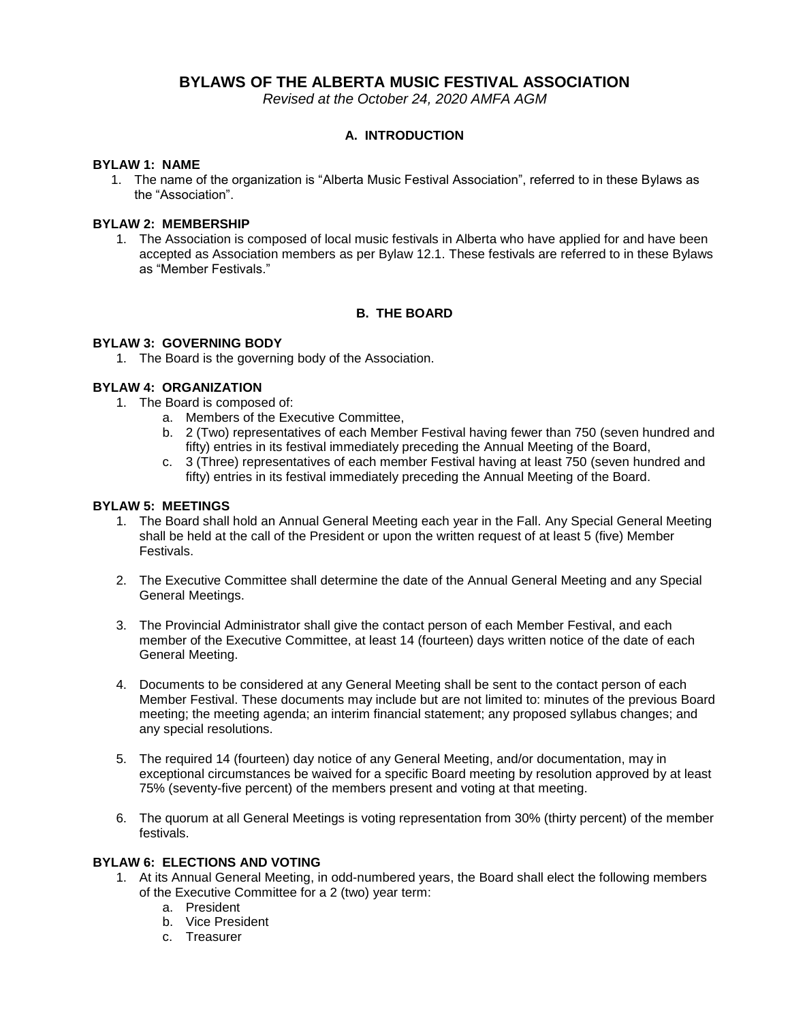# **BYLAWS OF THE ALBERTA MUSIC FESTIVAL ASSOCIATION**

*Revised at the October 24, 2020 AMFA AGM*

# **A. INTRODUCTION**

## **BYLAW 1: NAME**

1. The name of the organization is "Alberta Music Festival Association", referred to in these Bylaws as the "Association".

## **BYLAW 2: MEMBERSHIP**

1. The Association is composed of local music festivals in Alberta who have applied for and have been accepted as Association members as per Bylaw 12.1. These festivals are referred to in these Bylaws as "Member Festivals."

# **B. THE BOARD**

## **BYLAW 3: GOVERNING BODY**

1. The Board is the governing body of the Association.

# **BYLAW 4: ORGANIZATION**

- 1. The Board is composed of:
	- a. Members of the Executive Committee,
	- b. 2 (Two) representatives of each Member Festival having fewer than 750 (seven hundred and fifty) entries in its festival immediately preceding the Annual Meeting of the Board,
	- c. 3 (Three) representatives of each member Festival having at least 750 (seven hundred and fifty) entries in its festival immediately preceding the Annual Meeting of the Board.

# **BYLAW 5: MEETINGS**

- 1. The Board shall hold an Annual General Meeting each year in the Fall. Any Special General Meeting shall be held at the call of the President or upon the written request of at least 5 (five) Member Festivals.
- 2. The Executive Committee shall determine the date of the Annual General Meeting and any Special General Meetings.
- 3. The Provincial Administrator shall give the contact person of each Member Festival, and each member of the Executive Committee, at least 14 (fourteen) days written notice of the date of each General Meeting.
- 4. Documents to be considered at any General Meeting shall be sent to the contact person of each Member Festival. These documents may include but are not limited to: minutes of the previous Board meeting; the meeting agenda; an interim financial statement; any proposed syllabus changes; and any special resolutions.
- 5. The required 14 (fourteen) day notice of any General Meeting, and/or documentation, may in exceptional circumstances be waived for a specific Board meeting by resolution approved by at least 75% (seventy-five percent) of the members present and voting at that meeting.
- 6. The quorum at all General Meetings is voting representation from 30% (thirty percent) of the member festivals.

#### **BYLAW 6: ELECTIONS AND VOTING**

- 1. At its Annual General Meeting, in odd-numbered years, the Board shall elect the following members of the Executive Committee for a 2 (two) year term:
	- a. President
	- b. Vice President
	- c. Treasurer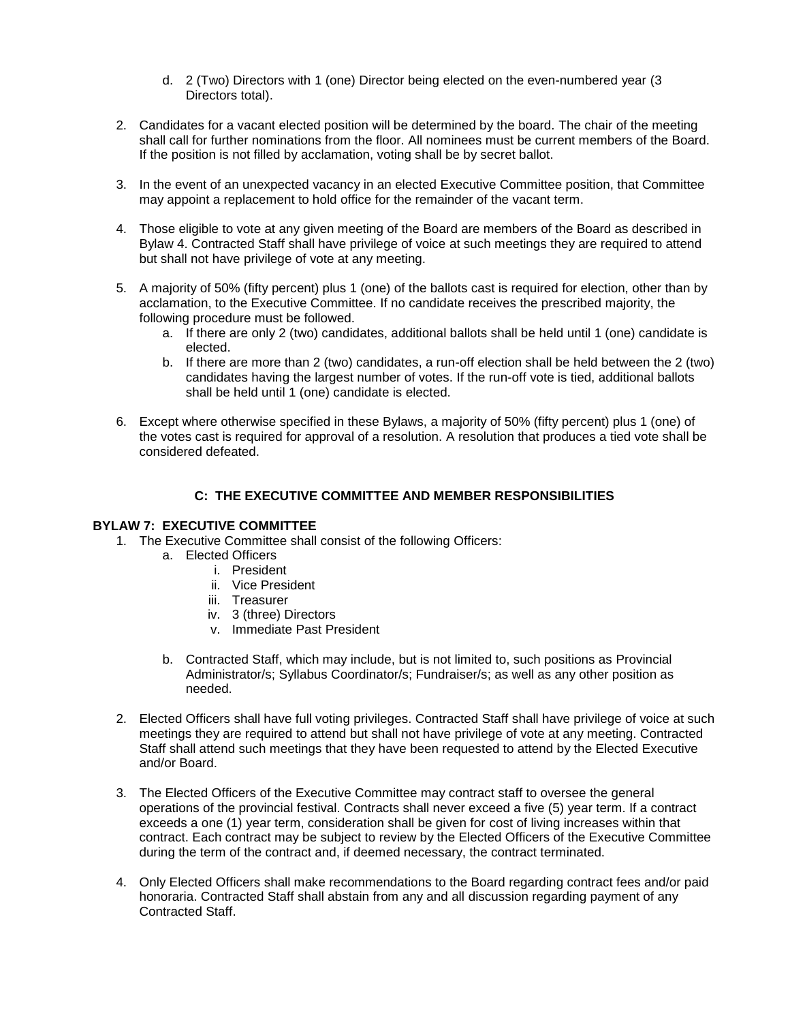- d. 2 (Two) Directors with 1 (one) Director being elected on the even-numbered year (3 Directors total).
- 2. Candidates for a vacant elected position will be determined by the board. The chair of the meeting shall call for further nominations from the floor. All nominees must be current members of the Board. If the position is not filled by acclamation, voting shall be by secret ballot.
- 3. In the event of an unexpected vacancy in an elected Executive Committee position, that Committee may appoint a replacement to hold office for the remainder of the vacant term.
- 4. Those eligible to vote at any given meeting of the Board are members of the Board as described in Bylaw 4. Contracted Staff shall have privilege of voice at such meetings they are required to attend but shall not have privilege of vote at any meeting.
- 5. A majority of 50% (fifty percent) plus 1 (one) of the ballots cast is required for election, other than by acclamation, to the Executive Committee. If no candidate receives the prescribed majority, the following procedure must be followed.
	- a. If there are only 2 (two) candidates, additional ballots shall be held until 1 (one) candidate is elected.
	- b. If there are more than 2 (two) candidates, a run-off election shall be held between the 2 (two) candidates having the largest number of votes. If the run-off vote is tied, additional ballots shall be held until 1 (one) candidate is elected.
- 6. Except where otherwise specified in these Bylaws, a majority of 50% (fifty percent) plus 1 (one) of the votes cast is required for approval of a resolution. A resolution that produces a tied vote shall be considered defeated.

# **C: THE EXECUTIVE COMMITTEE AND MEMBER RESPONSIBILITIES**

# **BYLAW 7: EXECUTIVE COMMITTEE**

- 1. The Executive Committee shall consist of the following Officers:
	- a. Elected Officers
		- i. President
		- ii. Vice President
		- iii. Treasurer
		- iv. 3 (three) Directors
		- v. Immediate Past President
	- b. Contracted Staff, which may include, but is not limited to, such positions as Provincial Administrator/s; Syllabus Coordinator/s; Fundraiser/s; as well as any other position as needed.
- 2. Elected Officers shall have full voting privileges. Contracted Staff shall have privilege of voice at such meetings they are required to attend but shall not have privilege of vote at any meeting. Contracted Staff shall attend such meetings that they have been requested to attend by the Elected Executive and/or Board.
- 3. The Elected Officers of the Executive Committee may contract staff to oversee the general operations of the provincial festival. Contracts shall never exceed a five (5) year term. If a contract exceeds a one (1) year term, consideration shall be given for cost of living increases within that contract. Each contract may be subject to review by the Elected Officers of the Executive Committee during the term of the contract and, if deemed necessary, the contract terminated.
- 4. Only Elected Officers shall make recommendations to the Board regarding contract fees and/or paid honoraria. Contracted Staff shall abstain from any and all discussion regarding payment of any Contracted Staff.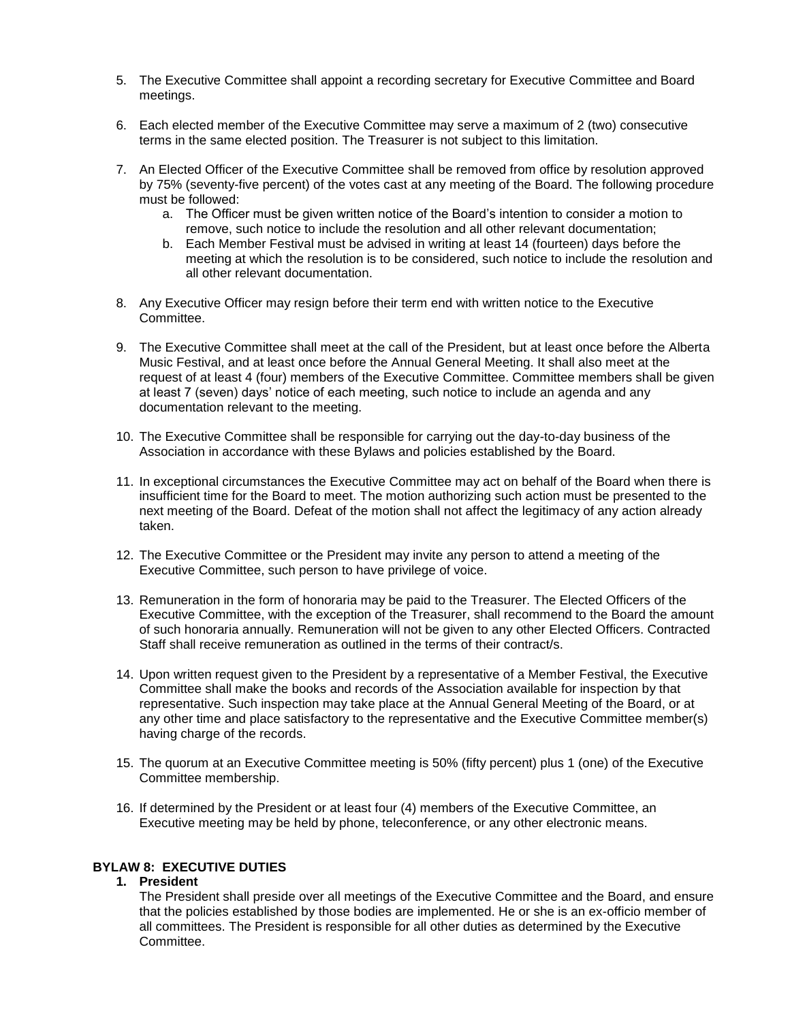- 5. The Executive Committee shall appoint a recording secretary for Executive Committee and Board meetings.
- 6. Each elected member of the Executive Committee may serve a maximum of 2 (two) consecutive terms in the same elected position. The Treasurer is not subject to this limitation.
- 7. An Elected Officer of the Executive Committee shall be removed from office by resolution approved by 75% (seventy-five percent) of the votes cast at any meeting of the Board. The following procedure must be followed:
	- a. The Officer must be given written notice of the Board's intention to consider a motion to remove, such notice to include the resolution and all other relevant documentation;
	- b. Each Member Festival must be advised in writing at least 14 (fourteen) days before the meeting at which the resolution is to be considered, such notice to include the resolution and all other relevant documentation.
- 8. Any Executive Officer may resign before their term end with written notice to the Executive **Committee.**
- 9. The Executive Committee shall meet at the call of the President, but at least once before the Alberta Music Festival, and at least once before the Annual General Meeting. It shall also meet at the request of at least 4 (four) members of the Executive Committee. Committee members shall be given at least 7 (seven) days' notice of each meeting, such notice to include an agenda and any documentation relevant to the meeting.
- 10. The Executive Committee shall be responsible for carrying out the day-to-day business of the Association in accordance with these Bylaws and policies established by the Board.
- 11. In exceptional circumstances the Executive Committee may act on behalf of the Board when there is insufficient time for the Board to meet. The motion authorizing such action must be presented to the next meeting of the Board. Defeat of the motion shall not affect the legitimacy of any action already taken.
- 12. The Executive Committee or the President may invite any person to attend a meeting of the Executive Committee, such person to have privilege of voice.
- 13. Remuneration in the form of honoraria may be paid to the Treasurer. The Elected Officers of the Executive Committee, with the exception of the Treasurer, shall recommend to the Board the amount of such honoraria annually. Remuneration will not be given to any other Elected Officers. Contracted Staff shall receive remuneration as outlined in the terms of their contract/s.
- 14. Upon written request given to the President by a representative of a Member Festival, the Executive Committee shall make the books and records of the Association available for inspection by that representative. Such inspection may take place at the Annual General Meeting of the Board, or at any other time and place satisfactory to the representative and the Executive Committee member(s) having charge of the records.
- 15. The quorum at an Executive Committee meeting is 50% (fifty percent) plus 1 (one) of the Executive Committee membership.
- 16. If determined by the President or at least four (4) members of the Executive Committee, an Executive meeting may be held by phone, teleconference, or any other electronic means.

# **BYLAW 8: EXECUTIVE DUTIES**

#### **1. President**

The President shall preside over all meetings of the Executive Committee and the Board, and ensure that the policies established by those bodies are implemented. He or she is an ex-officio member of all committees. The President is responsible for all other duties as determined by the Executive Committee.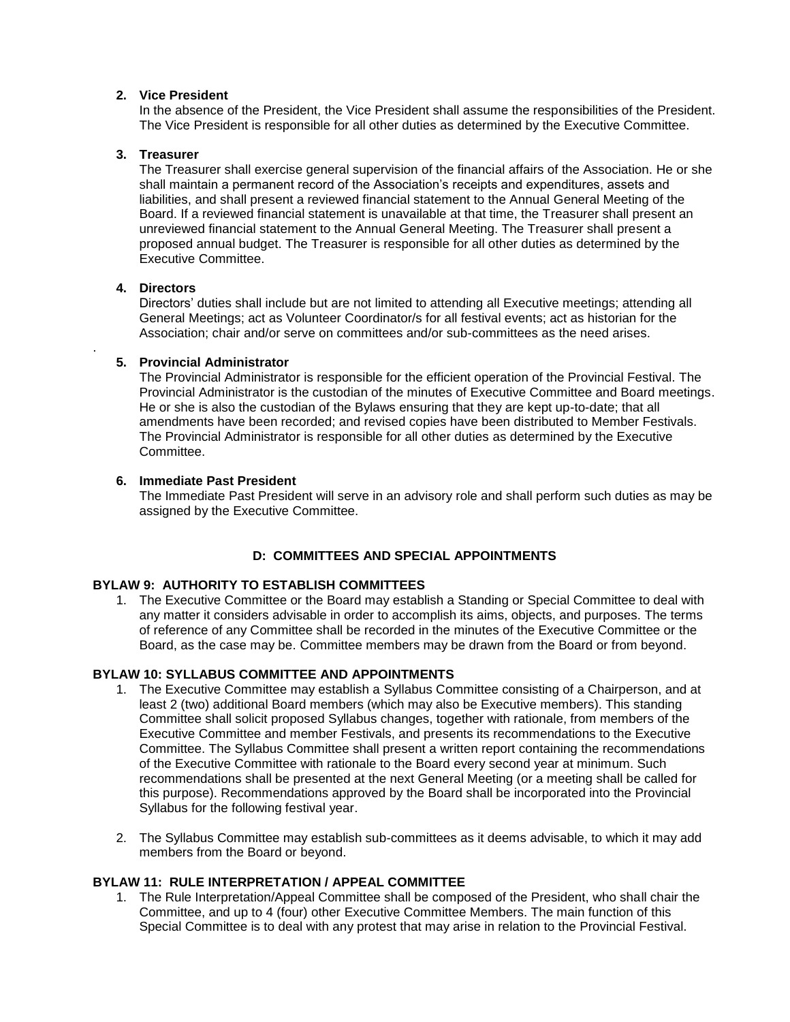#### **2. Vice President**

In the absence of the President, the Vice President shall assume the responsibilities of the President. The Vice President is responsible for all other duties as determined by the Executive Committee.

#### **3. Treasurer**

The Treasurer shall exercise general supervision of the financial affairs of the Association. He or she shall maintain a permanent record of the Association's receipts and expenditures, assets and liabilities, and shall present a reviewed financial statement to the Annual General Meeting of the Board. If a reviewed financial statement is unavailable at that time, the Treasurer shall present an unreviewed financial statement to the Annual General Meeting. The Treasurer shall present a proposed annual budget. The Treasurer is responsible for all other duties as determined by the Executive Committee.

#### **4. Directors**

.

Directors' duties shall include but are not limited to attending all Executive meetings; attending all General Meetings; act as Volunteer Coordinator/s for all festival events; act as historian for the Association; chair and/or serve on committees and/or sub-committees as the need arises.

## **5. Provincial Administrator**

The Provincial Administrator is responsible for the efficient operation of the Provincial Festival. The Provincial Administrator is the custodian of the minutes of Executive Committee and Board meetings. He or she is also the custodian of the Bylaws ensuring that they are kept up-to-date; that all amendments have been recorded; and revised copies have been distributed to Member Festivals. The Provincial Administrator is responsible for all other duties as determined by the Executive **Committee.** 

## **6. Immediate Past President**

The Immediate Past President will serve in an advisory role and shall perform such duties as may be assigned by the Executive Committee.

# **D: COMMITTEES AND SPECIAL APPOINTMENTS**

## **BYLAW 9: AUTHORITY TO ESTABLISH COMMITTEES**

1. The Executive Committee or the Board may establish a Standing or Special Committee to deal with any matter it considers advisable in order to accomplish its aims, objects, and purposes. The terms of reference of any Committee shall be recorded in the minutes of the Executive Committee or the Board, as the case may be. Committee members may be drawn from the Board or from beyond.

# **BYLAW 10: SYLLABUS COMMITTEE AND APPOINTMENTS**

- 1. The Executive Committee may establish a Syllabus Committee consisting of a Chairperson, and at least 2 (two) additional Board members (which may also be Executive members). This standing Committee shall solicit proposed Syllabus changes, together with rationale, from members of the Executive Committee and member Festivals, and presents its recommendations to the Executive Committee. The Syllabus Committee shall present a written report containing the recommendations of the Executive Committee with rationale to the Board every second year at minimum. Such recommendations shall be presented at the next General Meeting (or a meeting shall be called for this purpose). Recommendations approved by the Board shall be incorporated into the Provincial Syllabus for the following festival year.
- 2. The Syllabus Committee may establish sub-committees as it deems advisable, to which it may add members from the Board or beyond.

## **BYLAW 11: RULE INTERPRETATION / APPEAL COMMITTEE**

1. The Rule Interpretation/Appeal Committee shall be composed of the President, who shall chair the Committee, and up to 4 (four) other Executive Committee Members. The main function of this Special Committee is to deal with any protest that may arise in relation to the Provincial Festival.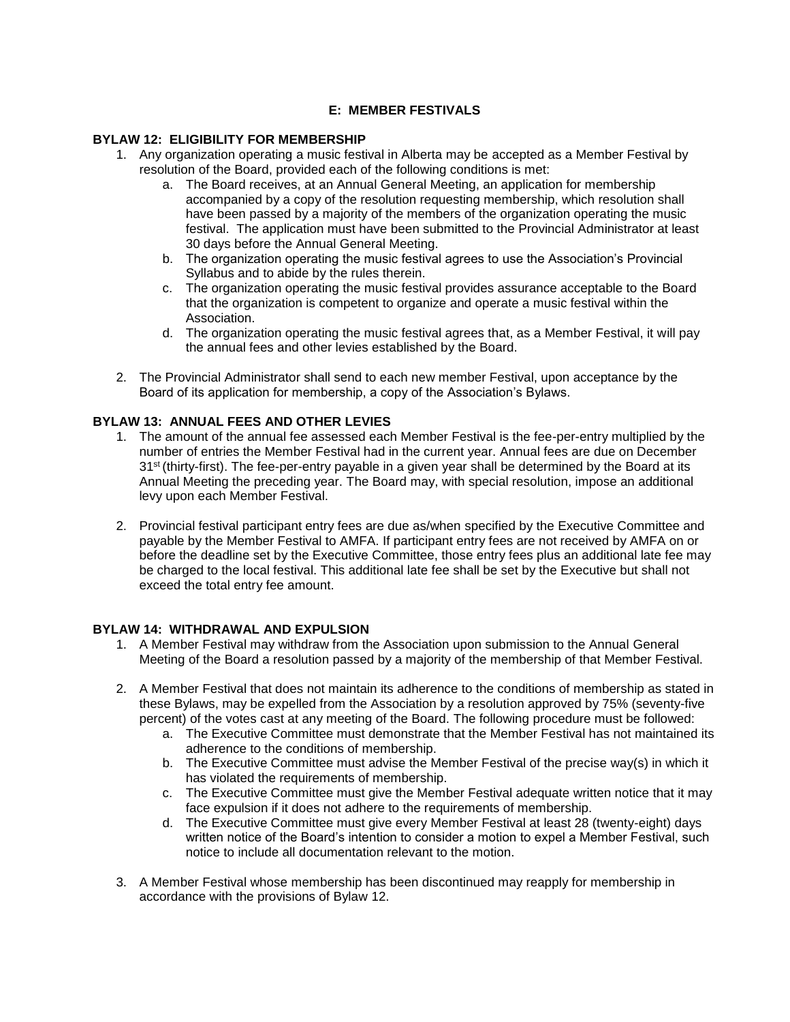# **E: MEMBER FESTIVALS**

## **BYLAW 12: ELIGIBILITY FOR MEMBERSHIP**

- 1. Any organization operating a music festival in Alberta may be accepted as a Member Festival by resolution of the Board, provided each of the following conditions is met:
	- a. The Board receives, at an Annual General Meeting, an application for membership accompanied by a copy of the resolution requesting membership, which resolution shall have been passed by a majority of the members of the organization operating the music festival. The application must have been submitted to the Provincial Administrator at least 30 days before the Annual General Meeting.
	- b. The organization operating the music festival agrees to use the Association's Provincial Syllabus and to abide by the rules therein.
	- c. The organization operating the music festival provides assurance acceptable to the Board that the organization is competent to organize and operate a music festival within the Association.
	- d. The organization operating the music festival agrees that, as a Member Festival, it will pay the annual fees and other levies established by the Board.
- 2. The Provincial Administrator shall send to each new member Festival, upon acceptance by the Board of its application for membership, a copy of the Association's Bylaws.

#### **BYLAW 13: ANNUAL FEES AND OTHER LEVIES**

- 1. The amount of the annual fee assessed each Member Festival is the fee-per-entry multiplied by the number of entries the Member Festival had in the current year. Annual fees are due on December 31<sup>st</sup> (thirty-first). The fee-per-entry payable in a given year shall be determined by the Board at its Annual Meeting the preceding year. The Board may, with special resolution, impose an additional levy upon each Member Festival.
- 2. Provincial festival participant entry fees are due as/when specified by the Executive Committee and payable by the Member Festival to AMFA. If participant entry fees are not received by AMFA on or before the deadline set by the Executive Committee, those entry fees plus an additional late fee may be charged to the local festival. This additional late fee shall be set by the Executive but shall not exceed the total entry fee amount.

#### **BYLAW 14: WITHDRAWAL AND EXPULSION**

- 1. A Member Festival may withdraw from the Association upon submission to the Annual General Meeting of the Board a resolution passed by a majority of the membership of that Member Festival.
- 2. A Member Festival that does not maintain its adherence to the conditions of membership as stated in these Bylaws, may be expelled from the Association by a resolution approved by 75% (seventy-five percent) of the votes cast at any meeting of the Board. The following procedure must be followed:
	- a. The Executive Committee must demonstrate that the Member Festival has not maintained its adherence to the conditions of membership.
	- b. The Executive Committee must advise the Member Festival of the precise way(s) in which it has violated the requirements of membership.
	- c. The Executive Committee must give the Member Festival adequate written notice that it may face expulsion if it does not adhere to the requirements of membership.
	- d. The Executive Committee must give every Member Festival at least 28 (twenty-eight) days written notice of the Board's intention to consider a motion to expel a Member Festival, such notice to include all documentation relevant to the motion.
- 3. A Member Festival whose membership has been discontinued may reapply for membership in accordance with the provisions of Bylaw 12.